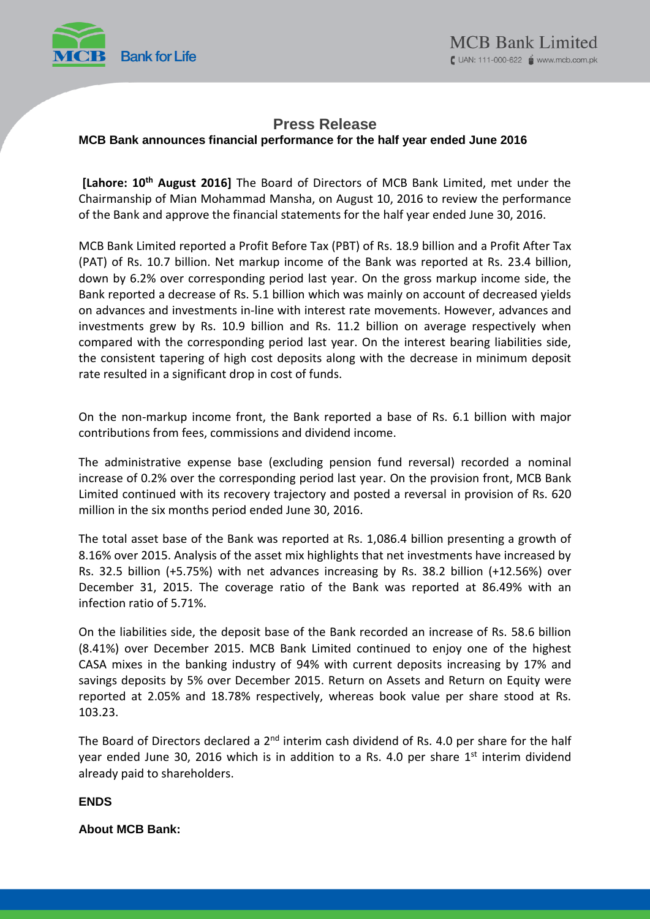

# **Press Release**

### **MCB Bank announces financial performance for the half year ended June 2016**

**[Lahore: 10th August 2016]** The Board of Directors of MCB Bank Limited, met under the Chairmanship of Mian Mohammad Mansha, on August 10, 2016 to review the performance of the Bank and approve the financial statements for the half year ended June 30, 2016.

MCB Bank Limited reported a Profit Before Tax (PBT) of Rs. 18.9 billion and a Profit After Tax (PAT) of Rs. 10.7 billion. Net markup income of the Bank was reported at Rs. 23.4 billion, down by 6.2% over corresponding period last year. On the gross markup income side, the Bank reported a decrease of Rs. 5.1 billion which was mainly on account of decreased yields on advances and investments in-line with interest rate movements. However, advances and investments grew by Rs. 10.9 billion and Rs. 11.2 billion on average respectively when compared with the corresponding period last year. On the interest bearing liabilities side, the consistent tapering of high cost deposits along with the decrease in minimum deposit rate resulted in a significant drop in cost of funds.

On the non-markup income front, the Bank reported a base of Rs. 6.1 billion with major contributions from fees, commissions and dividend income.

The administrative expense base (excluding pension fund reversal) recorded a nominal increase of 0.2% over the corresponding period last year. On the provision front, MCB Bank Limited continued with its recovery trajectory and posted a reversal in provision of Rs. 620 million in the six months period ended June 30, 2016.

The total asset base of the Bank was reported at Rs. 1,086.4 billion presenting a growth of 8.16% over 2015. Analysis of the asset mix highlights that net investments have increased by Rs. 32.5 billion (+5.75%) with net advances increasing by Rs. 38.2 billion (+12.56%) over December 31, 2015. The coverage ratio of the Bank was reported at 86.49% with an infection ratio of 5.71%.

On the liabilities side, the deposit base of the Bank recorded an increase of Rs. 58.6 billion (8.41%) over December 2015. MCB Bank Limited continued to enjoy one of the highest CASA mixes in the banking industry of 94% with current deposits increasing by 17% and savings deposits by 5% over December 2015. Return on Assets and Return on Equity were reported at 2.05% and 18.78% respectively, whereas book value per share stood at Rs. 103.23.

The Board of Directors declared a 2<sup>nd</sup> interim cash dividend of Rs. 4.0 per share for the half year ended June 30, 2016 which is in addition to a Rs. 4.0 per share 1<sup>st</sup> interim dividend already paid to shareholders.

## **ENDS**

### **About MCB Bank:**